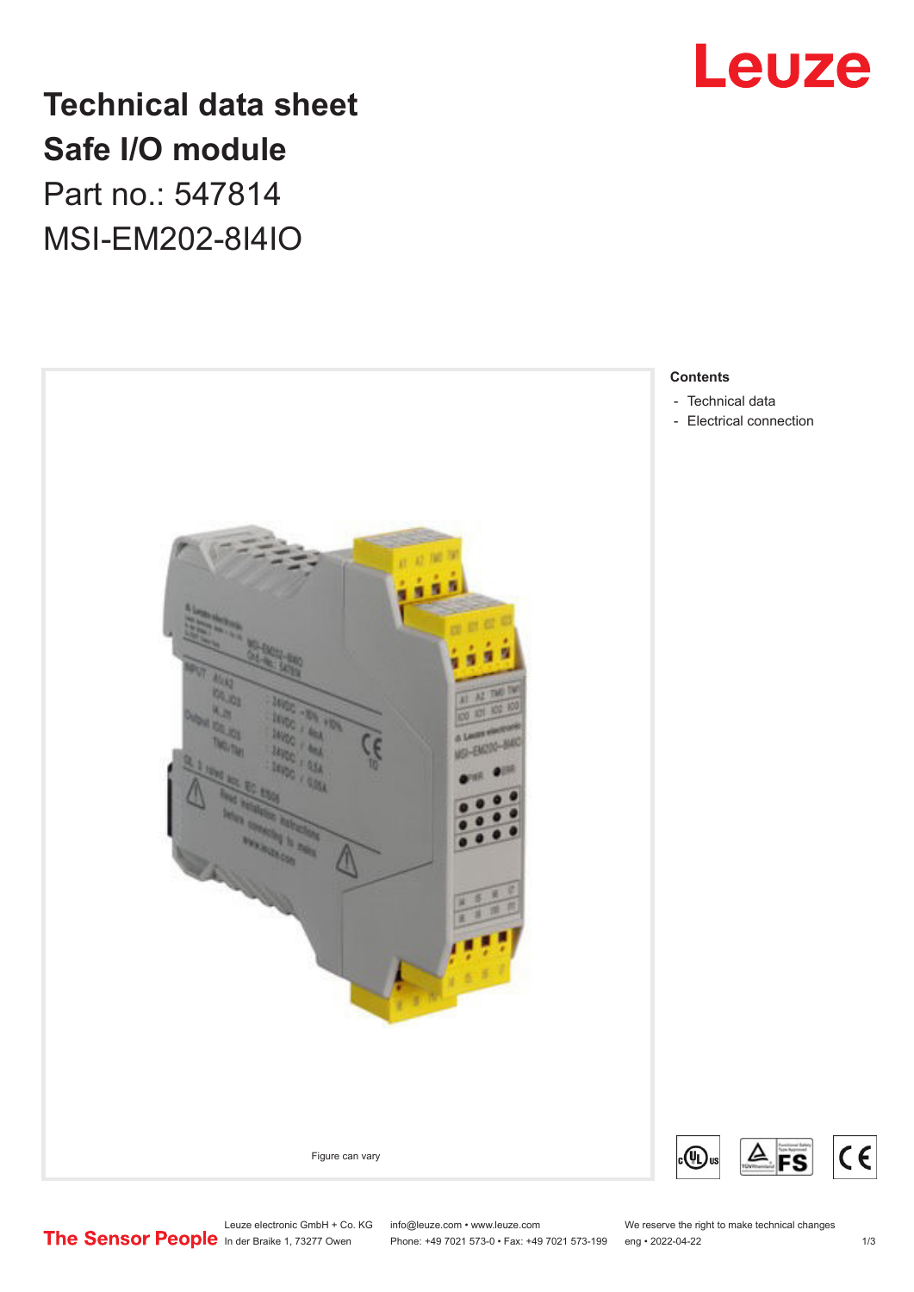

# **Technical data sheet Safe I/O module** Part no.: 547814

MSI-EM202-8I4IO



**Contents**

- [Technical data](#page-1-0)
- [Electrical connection](#page-2-0)

Leuze electronic GmbH + Co. KG info@leuze.com • www.leuze.com We reserve the right to make technical changes<br>
The Sensor People in der Braike 1, 73277 Owen Phone: +49 7021 573-0 • Fax: +49 7021 573-199 eng • 2022-04-22

Phone: +49 7021 573-0 • Fax: +49 7021 573-199 eng • 2022-04-22 1 73

◬

FS

 $C<sub>1</sub>$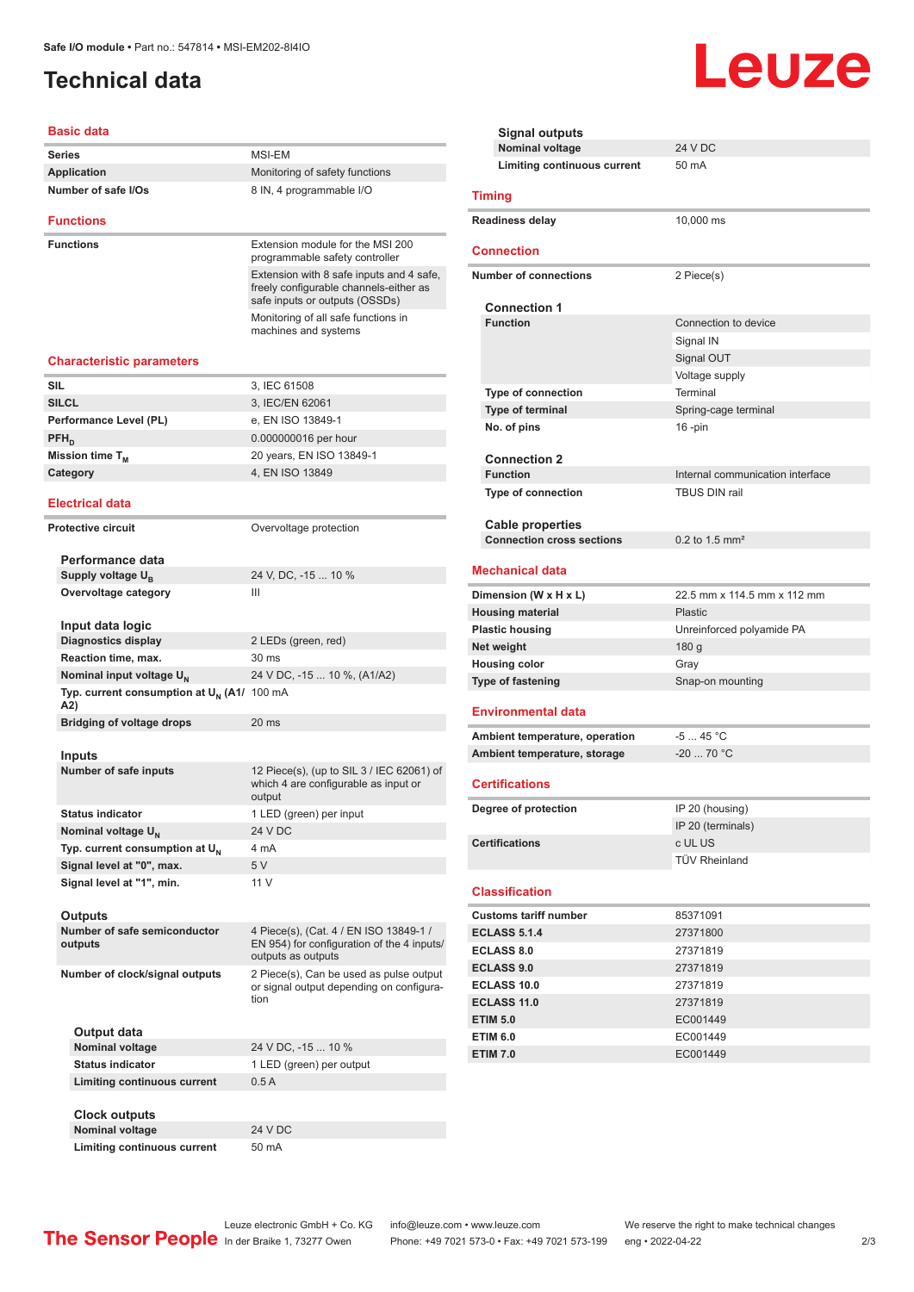# <span id="page-1-0"></span>**Technical data**

### **Basic data**

| Series                                          | MSI-EM                                                                                                               |
|-------------------------------------------------|----------------------------------------------------------------------------------------------------------------------|
| Application                                     | Monitoring of safety functions                                                                                       |
| Number of safe I/Os                             | 8 IN, 4 programmable I/O                                                                                             |
| <b>Functions</b>                                |                                                                                                                      |
| <b>Functions</b>                                | Extension module for the MSI 200<br>programmable safety controller                                                   |
|                                                 | Extension with 8 safe inputs and 4 safe,<br>freely configurable channels-either as<br>safe inputs or outputs (OSSDs) |
|                                                 | Monitoring of all safe functions in<br>machines and systems                                                          |
| <b>Characteristic parameters</b>                |                                                                                                                      |
| SIL                                             | 3, IEC 61508                                                                                                         |
| <b>SILCL</b>                                    | 3, IEC/EN 62061                                                                                                      |
| Performance Level (PL)                          | e, EN ISO 13849-1                                                                                                    |
| $PFH_{n}$                                       | 0.000000016 per hour                                                                                                 |
| Mission time T <sub>м</sub>                     | 20 years, EN ISO 13849-1                                                                                             |
| Category                                        | 4. EN ISO 13849                                                                                                      |
|                                                 |                                                                                                                      |
| <b>Electrical data</b>                          |                                                                                                                      |
| <b>Protective circuit</b>                       | Overvoltage protection                                                                                               |
|                                                 |                                                                                                                      |
| Performance data                                |                                                                                                                      |
| Supply voltage $U_{B}$                          | 24 V, DC, -15  10 %                                                                                                  |
| Overvoltage category                            | Ш                                                                                                                    |
| Input data logic                                |                                                                                                                      |
| <b>Diagnostics display</b>                      | 2 LEDs (green, red)                                                                                                  |
| Reaction time, max.                             | 30 ms                                                                                                                |
| Nominal input voltage U <sub>N</sub>            | 24 V DC, -15  10 %, (A1/A2)                                                                                          |
| Typ. current consumption at $U_{N}$ (A1/<br>A2) | 100 mA                                                                                                               |
| <b>Bridging of voltage drops</b>                | 20 ms                                                                                                                |
|                                                 |                                                                                                                      |
| Inputs                                          |                                                                                                                      |
| Number of safe inputs                           | 12 Piece(s), (up to SIL 3 / IEC 62061) of<br>which 4 are configurable as input or<br>output                          |
| <b>Status indicator</b>                         | 1 LED (green) per input                                                                                              |
| Nominal voltage U <sub>N</sub>                  | 24 V DC                                                                                                              |
| Typ. current consumption at U <sub>N</sub>      | 4 mA                                                                                                                 |
| Signal level at "0", max.                       | 5V                                                                                                                   |
| Signal level at "1", min.                       | 11 V                                                                                                                 |
| Outputs                                         |                                                                                                                      |
| Number of safe semiconductor<br>outputs         | 4 Piece(s), (Cat. 4 / EN ISO 13849-1 /<br>EN 954) for configuration of the 4 inputs/<br>outputs as outputs           |
| Number of clock/signal outputs                  | 2 Piece(s), Can be used as pulse output<br>or signal output depending on configura-<br>tion                          |
| Output data                                     |                                                                                                                      |
| Nominal voltage                                 | 24 V DC, -15  10 %                                                                                                   |
| <b>Status indicator</b>                         | 1 LED (green) per output                                                                                             |
| Limiting continuous current                     | 0.5A                                                                                                                 |
|                                                 |                                                                                                                      |
| Clock outputs<br>Nominal voltage                | 24 V DC                                                                                                              |
| <b>Limiting continuous current</b>              | 50 mA                                                                                                                |
|                                                 |                                                                                                                      |

| <b>Signal outputs</b>            |                                  |
|----------------------------------|----------------------------------|
| <b>Nominal voltage</b>           | <b>24 V DC</b>                   |
| Limiting continuous current      | 50 mA                            |
|                                  |                                  |
| <b>Timing</b>                    |                                  |
| <b>Readiness delay</b>           | 10,000 ms                        |
|                                  |                                  |
| <b>Connection</b>                |                                  |
| <b>Number of connections</b>     | 2 Piece(s)                       |
|                                  |                                  |
| <b>Connection 1</b>              |                                  |
| <b>Function</b>                  | Connection to device             |
|                                  | Signal IN                        |
|                                  | Signal OUT                       |
|                                  | Voltage supply                   |
| <b>Type of connection</b>        | Terminal                         |
| Type of terminal                 | Spring-cage terminal             |
| No. of pins                      | $16$ -pin                        |
|                                  |                                  |
| <b>Connection 2</b>              |                                  |
| <b>Function</b>                  | Internal communication interface |
| Type of connection               | TBUS DIN rail                    |
|                                  |                                  |
| <b>Cable properties</b>          |                                  |
| <b>Connection cross sections</b> | 0.2 to 1.5 mm <sup>2</sup>       |
| <b>Mechanical data</b>           |                                  |
|                                  |                                  |
| Dimension (W x H x L)            | 22.5 mm x 114.5 mm x 112 mm      |
| <b>Housing material</b>          | Plastic                          |
| <b>Plastic housing</b>           | Unreinforced polyamide PA        |
| Net weight                       | 180 <sub>g</sub>                 |
| <b>Housing color</b>             | Gray                             |
| Type of fastening                | Snap-on mounting                 |
|                                  |                                  |
| <b>Environmental data</b>        |                                  |
| Ambient temperature, operation   | $-545 °C$                        |
| Ambient temperature, storage     | $-20$ 70 °C                      |
|                                  |                                  |
| <b>Certifications</b>            |                                  |
| Degree of protection             | IP 20 (housing)                  |
|                                  | IP 20 (terminals)                |
| <b>Certifications</b>            | c UL US                          |
|                                  | <b>TÜV Rheinland</b>             |
|                                  |                                  |
| <b>Classification</b>            |                                  |
| <b>Customs tariff number</b>     | 85371091                         |
| <b>ECLASS 5.1.4</b>              | 27371800                         |
| <b>ECLASS 8.0</b>                | 27371819                         |
| <b>ECLASS 9.0</b>                | 27371819                         |
| <b>ECLASS 10.0</b>               | 27371819                         |
| <b>ECLASS 11.0</b>               | 27371819                         |
| <b>ETIM 5.0</b>                  | EC001449                         |
| <b>ETIM 6.0</b>                  | EC001449                         |
| <b>ETIM 7.0</b>                  | EC001449                         |
|                                  |                                  |
|                                  |                                  |
|                                  |                                  |

Leuze

Leuze electronic GmbH + Co. KG info@leuze.com • www.leuze.com We reserve the right to make technical changes